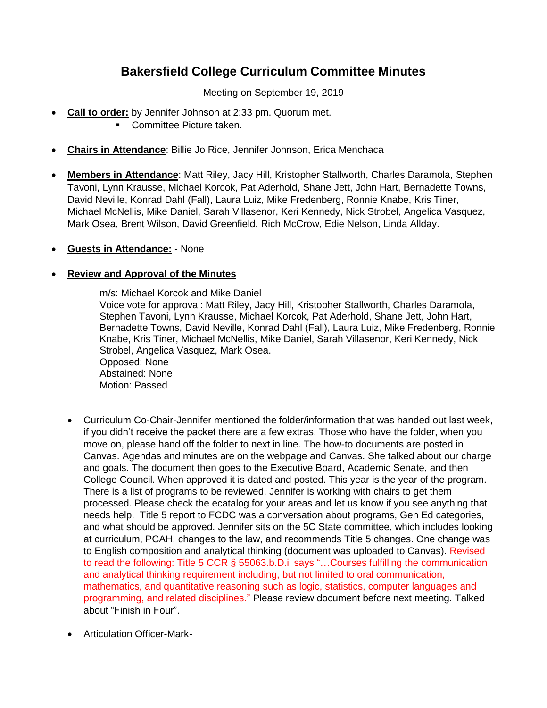# **Bakersfield College Curriculum Committee Minutes**

Meeting on September 19, 2019

- **Call to order:** by Jennifer Johnson at 2:33 pm. Quorum met.
	- **Committee Picture taken.**
- **Chairs in Attendance**: Billie Jo Rice, Jennifer Johnson, Erica Menchaca
- **Members in Attendance**: Matt Riley, Jacy Hill, Kristopher Stallworth, Charles Daramola, Stephen Tavoni, Lynn Krausse, Michael Korcok, Pat Aderhold, Shane Jett, John Hart, Bernadette Towns, David Neville, Konrad Dahl (Fall), Laura Luiz, Mike Fredenberg, Ronnie Knabe, Kris Tiner, Michael McNellis, Mike Daniel, Sarah Villasenor, Keri Kennedy, Nick Strobel, Angelica Vasquez, Mark Osea, Brent Wilson, David Greenfield, Rich McCrow, Edie Nelson, Linda Allday.
- **Guests in Attendance:** None

## **Review and Approval of the Minutes**

m/s: Michael Korcok and Mike Daniel Voice vote for approval: Matt Riley, Jacy Hill, Kristopher Stallworth, Charles Daramola, Stephen Tavoni, Lynn Krausse, Michael Korcok, Pat Aderhold, Shane Jett, John Hart, Bernadette Towns, David Neville, Konrad Dahl (Fall), Laura Luiz, Mike Fredenberg, Ronnie Knabe, Kris Tiner, Michael McNellis, Mike Daniel, Sarah Villasenor, Keri Kennedy, Nick Strobel, Angelica Vasquez, Mark Osea. Opposed: None Abstained: None Motion: Passed

- Curriculum Co-Chair-Jennifer mentioned the folder/information that was handed out last week, if you didn't receive the packet there are a few extras. Those who have the folder, when you move on, please hand off the folder to next in line. The how-to documents are posted in Canvas. Agendas and minutes are on the webpage and Canvas. She talked about our charge and goals. The document then goes to the Executive Board, Academic Senate, and then College Council. When approved it is dated and posted. This year is the year of the program. There is a list of programs to be reviewed. Jennifer is working with chairs to get them processed. Please check the ecatalog for your areas and let us know if you see anything that needs help. Title 5 report to FCDC was a conversation about programs, Gen Ed categories, and what should be approved. Jennifer sits on the 5C State committee, which includes looking at curriculum, PCAH, changes to the law, and recommends Title 5 changes. One change was to English composition and analytical thinking (document was uploaded to Canvas). Revised to read the following: Title 5 CCR § 55063.b.D.ii says "…Courses fulfilling the communication and analytical thinking requirement including, but not limited to oral communication, mathematics, and quantitative reasoning such as logic, statistics, computer languages and programming, and related disciplines." Please review document before next meeting. Talked about "Finish in Four".
- Articulation Officer-Mark-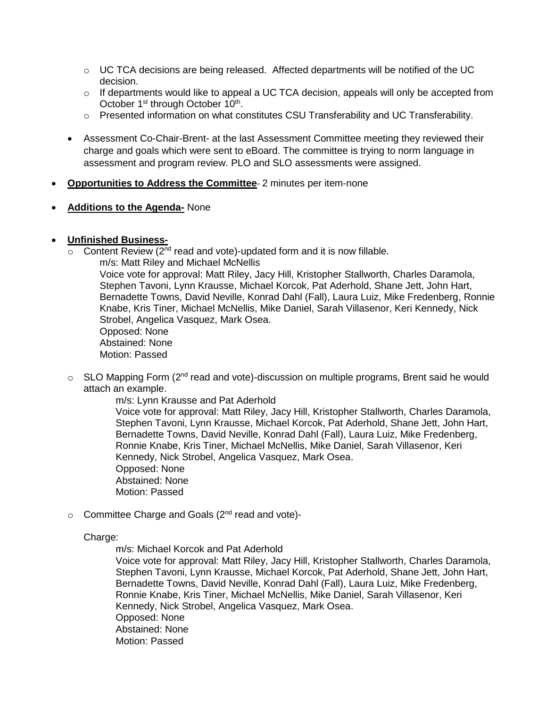- $\circ$  UC TCA decisions are being released. Affected departments will be notified of the UC decision.
- $\circ$  If departments would like to appeal a UC TCA decision, appeals will only be accepted from October 1<sup>st</sup> through October 10<sup>th</sup>.
- $\circ$  Presented information on what constitutes CSU Transferability and UC Transferability.
- Assessment Co-Chair-Brent- at the last Assessment Committee meeting they reviewed their charge and goals which were sent to eBoard. The committee is trying to norm language in assessment and program review. PLO and SLO assessments were assigned.
- **Opportunities to Address the Committee** 2 minutes per item-none
- **Additions to the Agenda-** None

## **Unfinished Business-**

 $\overline{\circ}$  Content Review (2<sup>nd</sup> read and vote)-updated form and it is now fillable.

m/s: Matt Riley and Michael McNellis Voice vote for approval: Matt Riley, Jacy Hill, Kristopher Stallworth, Charles Daramola, Stephen Tavoni, Lynn Krausse, Michael Korcok, Pat Aderhold, Shane Jett, John Hart, Bernadette Towns, David Neville, Konrad Dahl (Fall), Laura Luiz, Mike Fredenberg, Ronnie Knabe, Kris Tiner, Michael McNellis, Mike Daniel, Sarah Villasenor, Keri Kennedy, Nick Strobel, Angelica Vasquez, Mark Osea. Opposed: None Abstained: None Motion: Passed

o SLO Mapping Form (2<sup>nd</sup> read and vote)-discussion on multiple programs, Brent said he would attach an example.

> m/s: Lynn Krausse and Pat Aderhold Voice vote for approval: Matt Riley, Jacy Hill, Kristopher Stallworth, Charles Daramola, Stephen Tavoni, Lynn Krausse, Michael Korcok, Pat Aderhold, Shane Jett, John Hart, Bernadette Towns, David Neville, Konrad Dahl (Fall), Laura Luiz, Mike Fredenberg, Ronnie Knabe, Kris Tiner, Michael McNellis, Mike Daniel, Sarah Villasenor, Keri Kennedy, Nick Strobel, Angelica Vasquez, Mark Osea. Opposed: None Abstained: None Motion: Passed

 $\circ$  Committee Charge and Goals ( $2<sup>nd</sup>$  read and vote)-

#### Charge:

m/s: Michael Korcok and Pat Aderhold

Voice vote for approval: Matt Riley, Jacy Hill, Kristopher Stallworth, Charles Daramola, Stephen Tavoni, Lynn Krausse, Michael Korcok, Pat Aderhold, Shane Jett, John Hart, Bernadette Towns, David Neville, Konrad Dahl (Fall), Laura Luiz, Mike Fredenberg, Ronnie Knabe, Kris Tiner, Michael McNellis, Mike Daniel, Sarah Villasenor, Keri Kennedy, Nick Strobel, Angelica Vasquez, Mark Osea. Opposed: None Abstained: None Motion: Passed